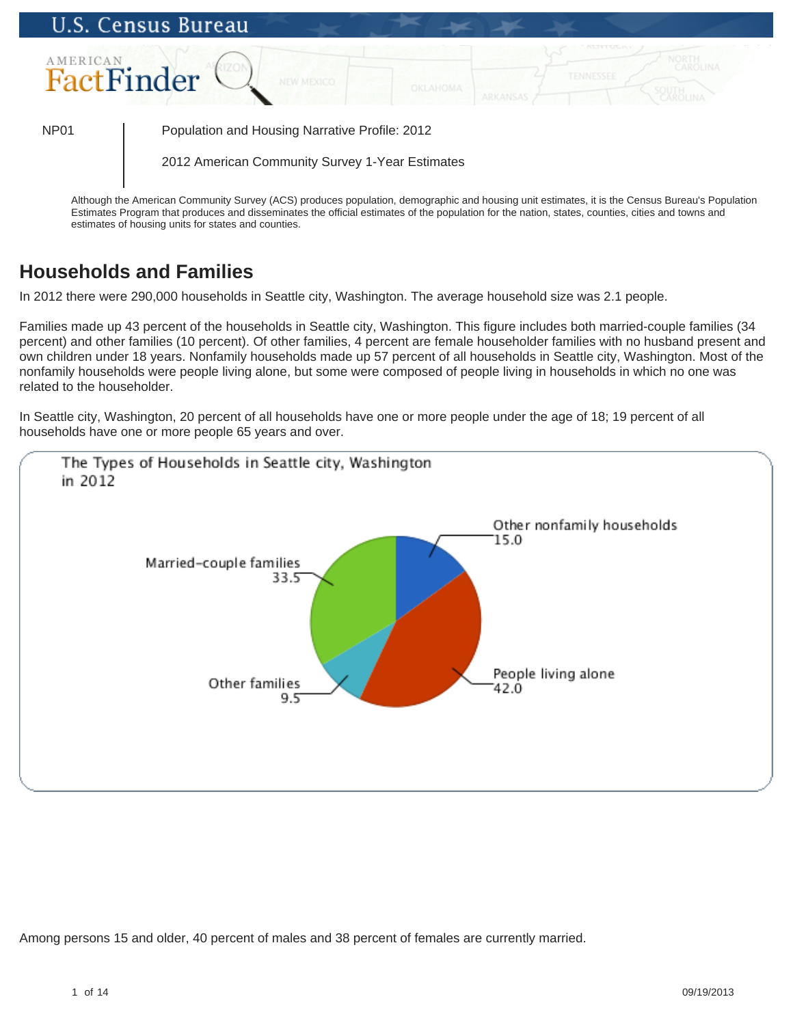

**Households and Families**

In 2012 there were 290,000 households in Seattle city, Washington. The average household size was 2.1 people.

Families made up 43 percent of the households in Seattle city, Washington. This figure includes both married-couple families (34 percent) and other families (10 percent). Of other families, 4 percent are female householder families with no husband present and own children under 18 years. Nonfamily households made up 57 percent of all households in Seattle city, Washington. Most of the nonfamily households were people living alone, but some were composed of people living in households in which no one was related to the householder.

In Seattle city, Washington, 20 percent of all households have one or more people under the age of 18; 19 percent of all households have one or more people 65 years and over.



Among persons 15 and older, 40 percent of males and 38 percent of females are currently married.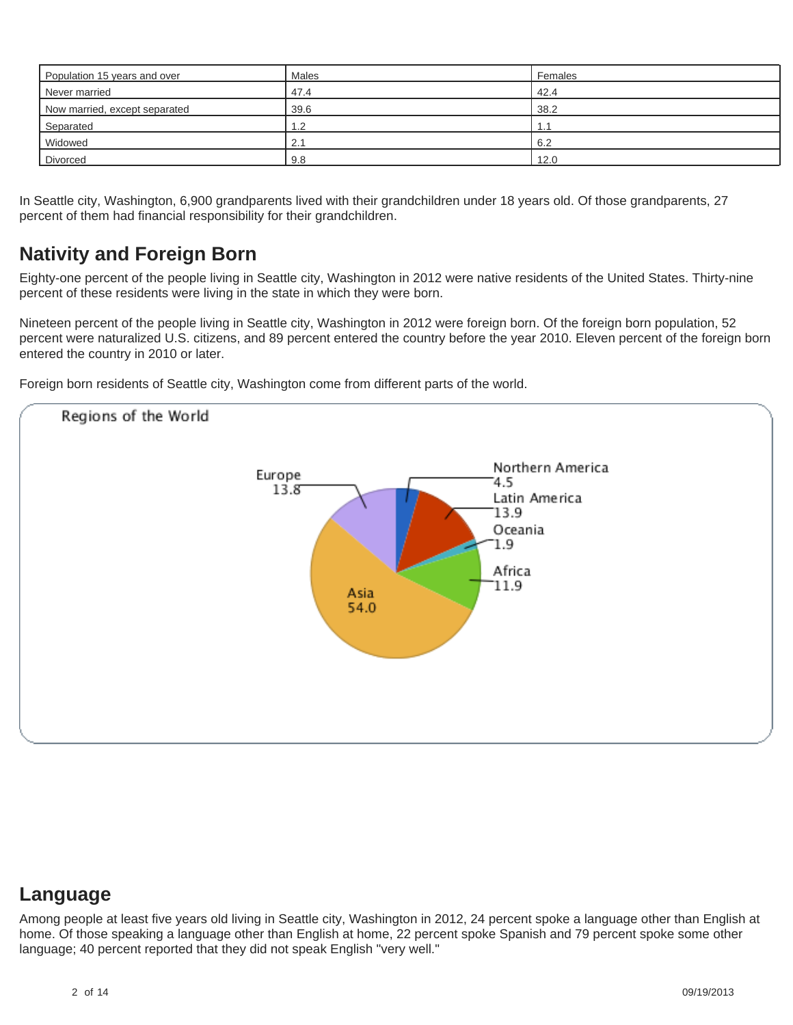| Population 15 years and over  | <b>Males</b> | Females |
|-------------------------------|--------------|---------|
| Never married                 | 47.4         | 42.4    |
| Now married, except separated | 39.6         | 38.2    |
| Separated                     | 2. ا         |         |
| Widowed                       | 2.1          | 6.2     |
| Divorced                      | 9.8          | 12.0    |

In Seattle city, Washington, 6,900 grandparents lived with their grandchildren under 18 years old. Of those grandparents, 27 percent of them had financial responsibility for their grandchildren.

# **Nativity and Foreign Born**

Eighty-one percent of the people living in Seattle city, Washington in 2012 were native residents of the United States. Thirty-nine percent of these residents were living in the state in which they were born.

Nineteen percent of the people living in Seattle city, Washington in 2012 were foreign born. Of the foreign born population, 52 percent were naturalized U.S. citizens, and 89 percent entered the country before the year 2010. Eleven percent of the foreign born entered the country in 2010 or later.

Foreign born residents of Seattle city, Washington come from different parts of the world.



### **Language**

Among people at least five years old living in Seattle city, Washington in 2012, 24 percent spoke a language other than English at home. Of those speaking a language other than English at home, 22 percent spoke Spanish and 79 percent spoke some other language; 40 percent reported that they did not speak English "very well."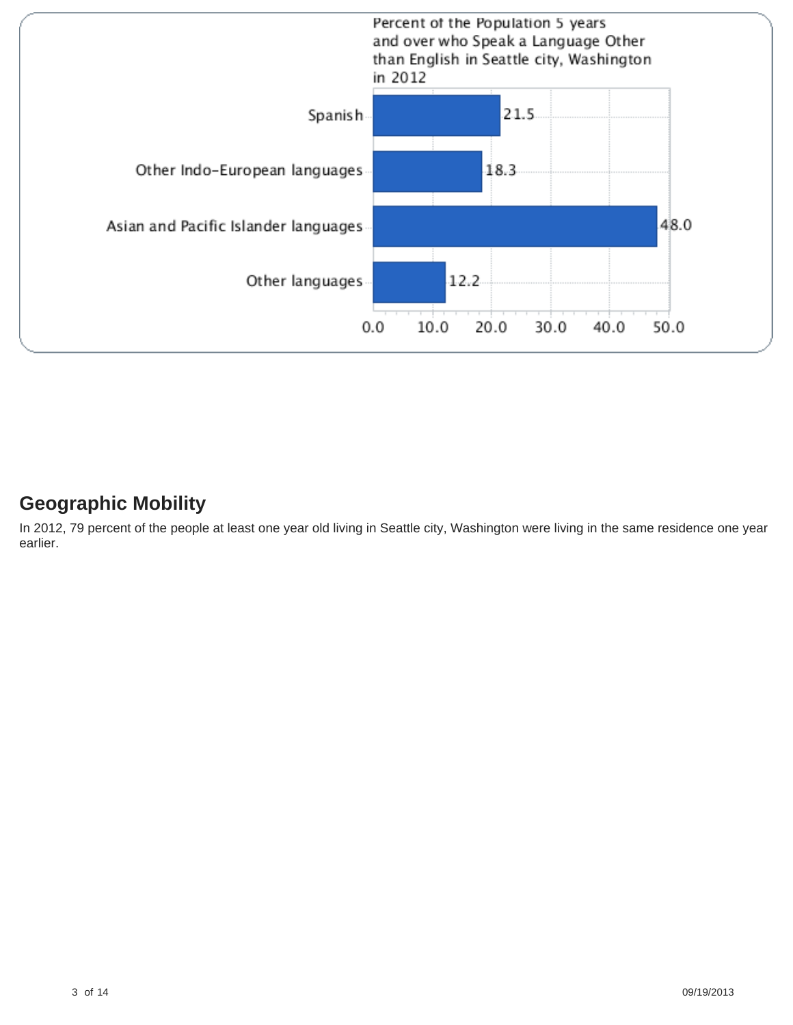

# **Geographic Mobility**

In 2012, 79 percent of the people at least one year old living in Seattle city, Washington were living in the same residence one year earlier.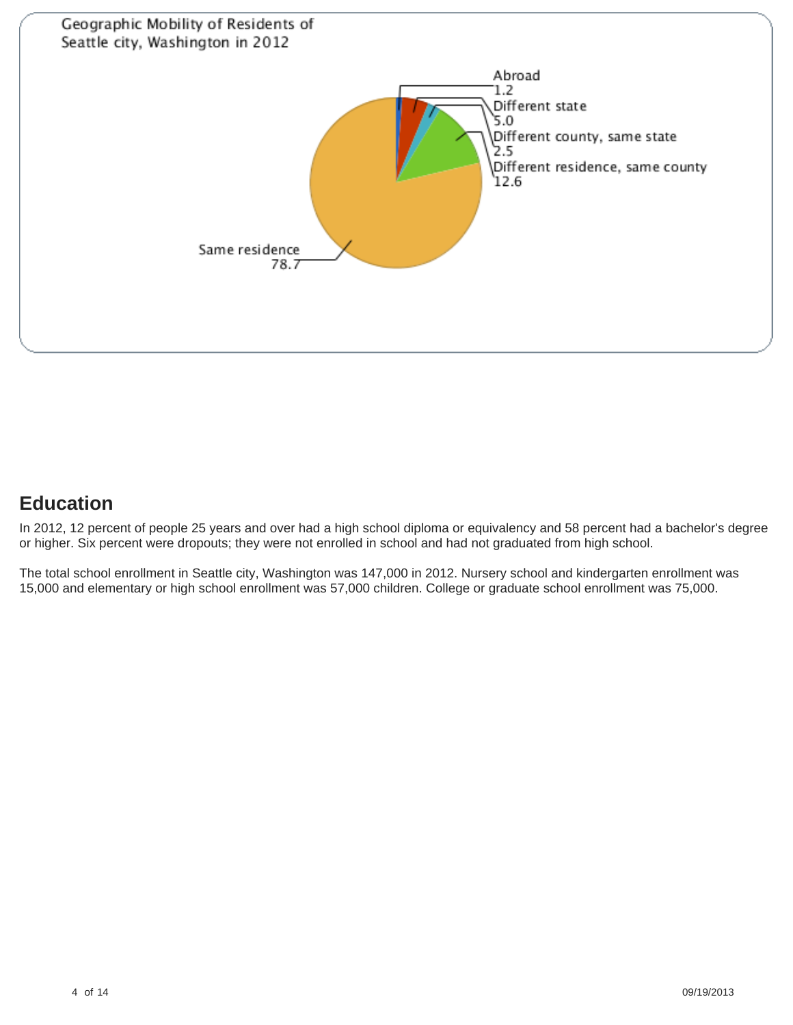

# **Education**

In 2012, 12 percent of people 25 years and over had a high school diploma or equivalency and 58 percent had a bachelor's degree or higher. Six percent were dropouts; they were not enrolled in school and had not graduated from high school.

The total school enrollment in Seattle city, Washington was 147,000 in 2012. Nursery school and kindergarten enrollment was 15,000 and elementary or high school enrollment was 57,000 children. College or graduate school enrollment was 75,000.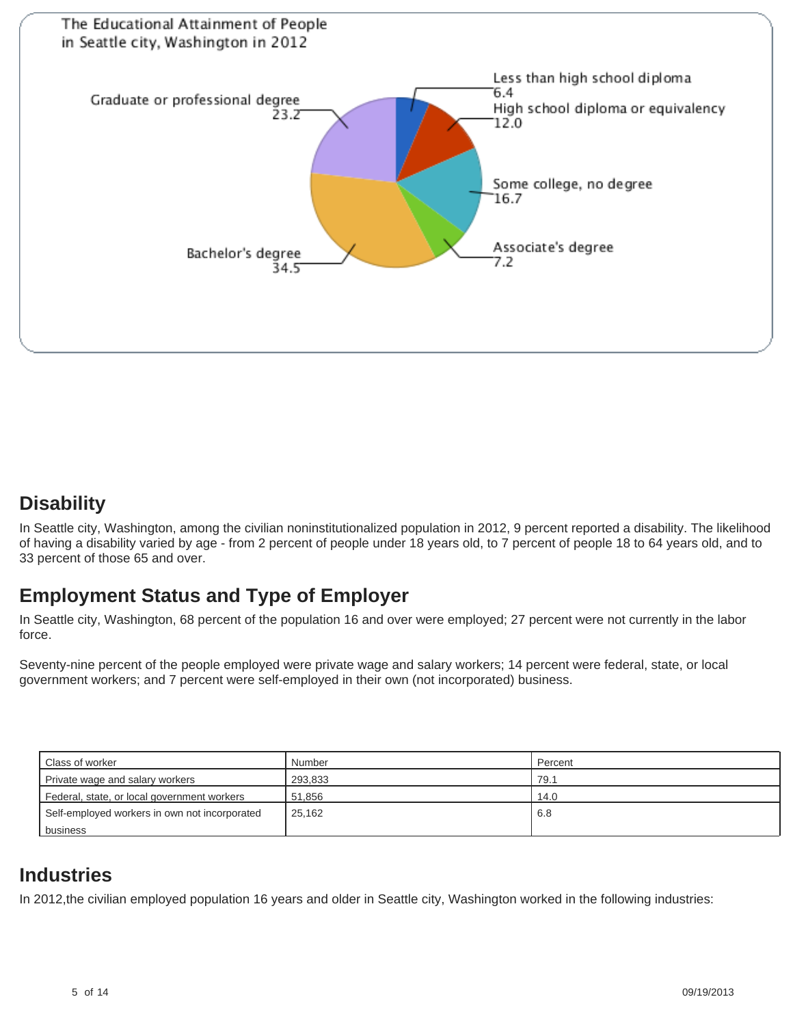

### **Disability**

In Seattle city, Washington, among the civilian noninstitutionalized population in 2012, 9 percent reported a disability. The likelihood of having a disability varied by age - from 2 percent of people under 18 years old, to 7 percent of people 18 to 64 years old, and to 33 percent of those 65 and over.

# **Employment Status and Type of Employer**

In Seattle city, Washington, 68 percent of the population 16 and over were employed; 27 percent were not currently in the labor force.

Seventy-nine percent of the people employed were private wage and salary workers; 14 percent were federal, state, or local government workers; and 7 percent were self-employed in their own (not incorporated) business.

| l Class of worker                             | Number  | Percent |
|-----------------------------------------------|---------|---------|
| Private wage and salary workers               | 293.833 | 79.1    |
| Federal, state, or local government workers   | 51.856  | 14.0    |
| Self-employed workers in own not incorporated | 25.162  | 6.8     |
| l business                                    |         |         |

### **Industries**

In 2012,the civilian employed population 16 years and older in Seattle city, Washington worked in the following industries: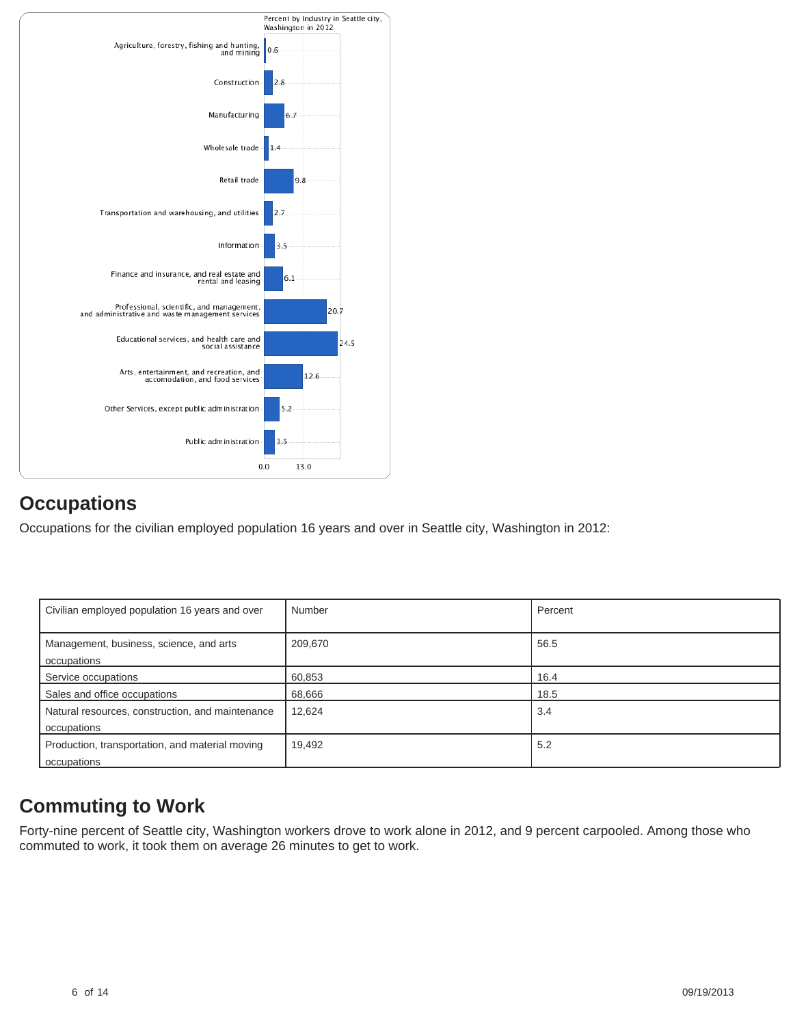

# **Occupations**

Occupations for the civilian employed population 16 years and over in Seattle city, Washington in 2012:

| Civilian employed population 16 years and over                  | Number  | Percent |
|-----------------------------------------------------------------|---------|---------|
| Management, business, science, and arts<br>occupations          | 209,670 | 56.5    |
| Service occupations                                             | 60,853  | 16.4    |
| Sales and office occupations                                    | 68,666  | 18.5    |
| Natural resources, construction, and maintenance<br>occupations | 12,624  | 3.4     |
| Production, transportation, and material moving<br>occupations  | 19,492  | 5.2     |

# **Commuting to Work**

Forty-nine percent of Seattle city, Washington workers drove to work alone in 2012, and 9 percent carpooled. Among those who commuted to work, it took them on average 26 minutes to get to work.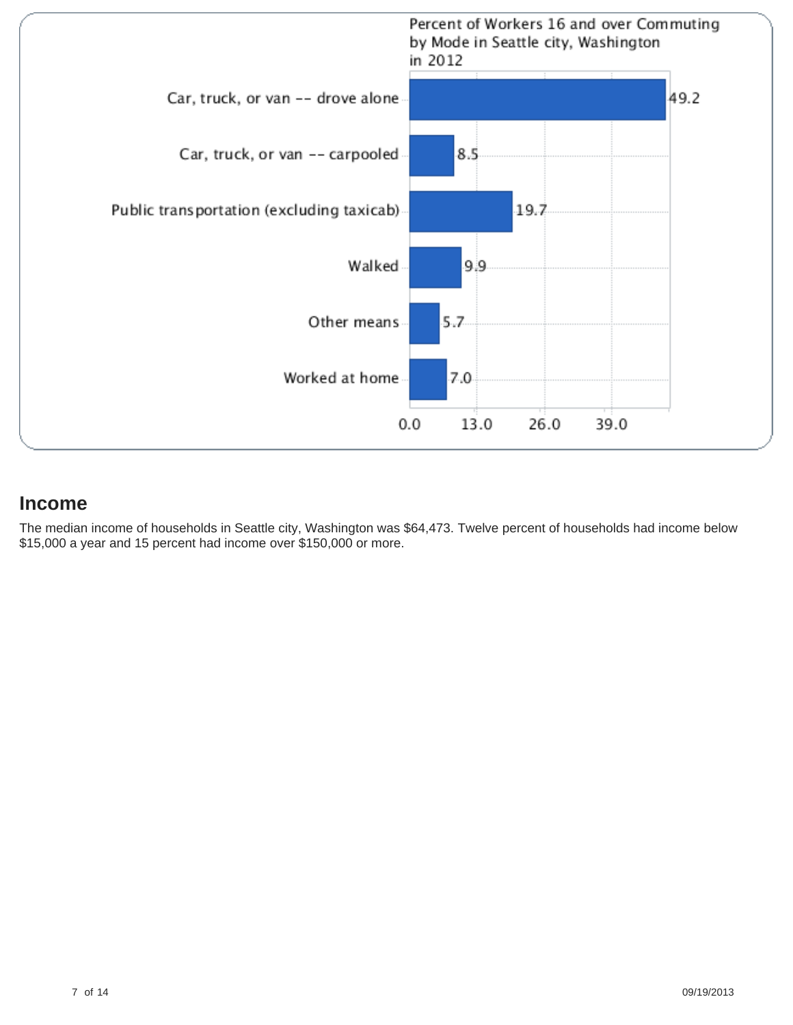

#### **Income**

The median income of households in Seattle city, Washington was \$64,473. Twelve percent of households had income below \$15,000 a year and 15 percent had income over \$150,000 or more.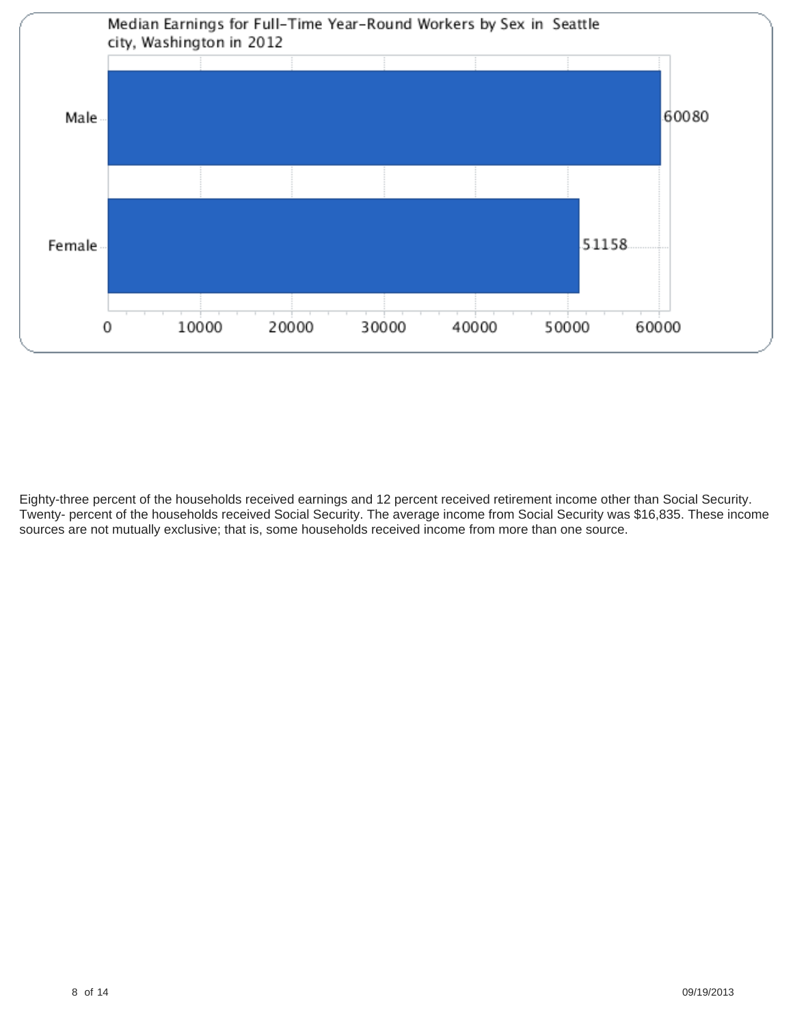

Eighty-three percent of the households received earnings and 12 percent received retirement income other than Social Security. Twenty- percent of the households received Social Security. The average income from Social Security was \$16,835. These income sources are not mutually exclusive; that is, some households received income from more than one source.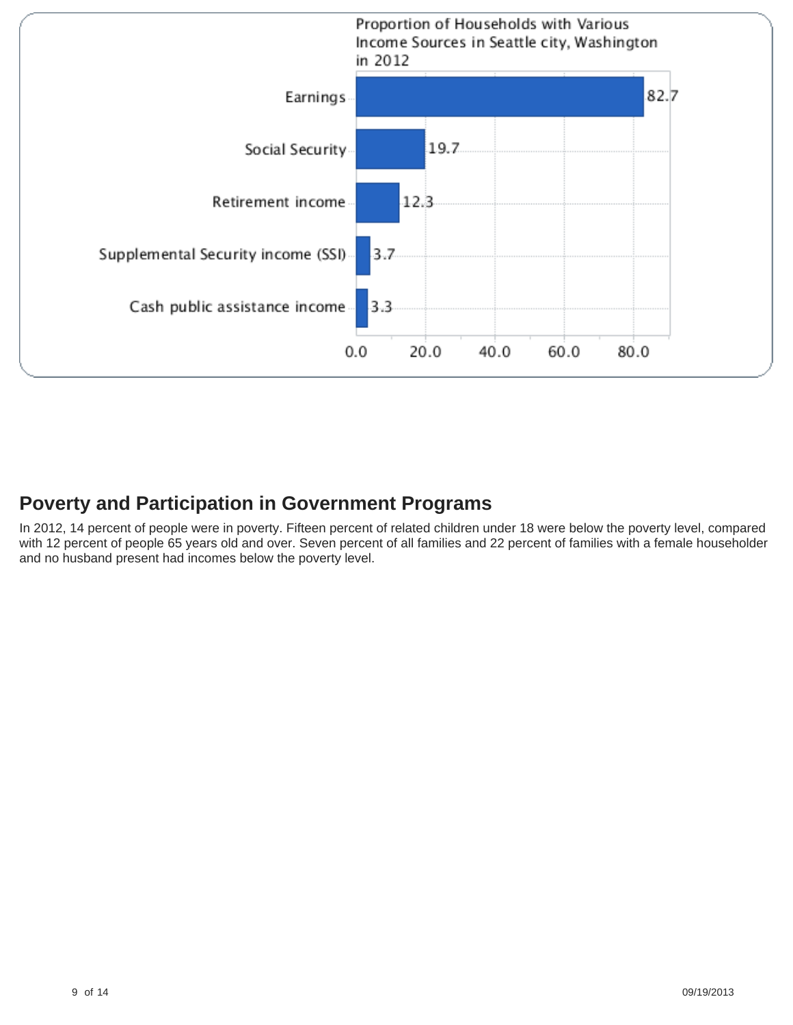

# **Poverty and Participation in Government Programs**

In 2012, 14 percent of people were in poverty. Fifteen percent of related children under 18 were below the poverty level, compared with 12 percent of people 65 years old and over. Seven percent of all families and 22 percent of families with a female householder and no husband present had incomes below the poverty level.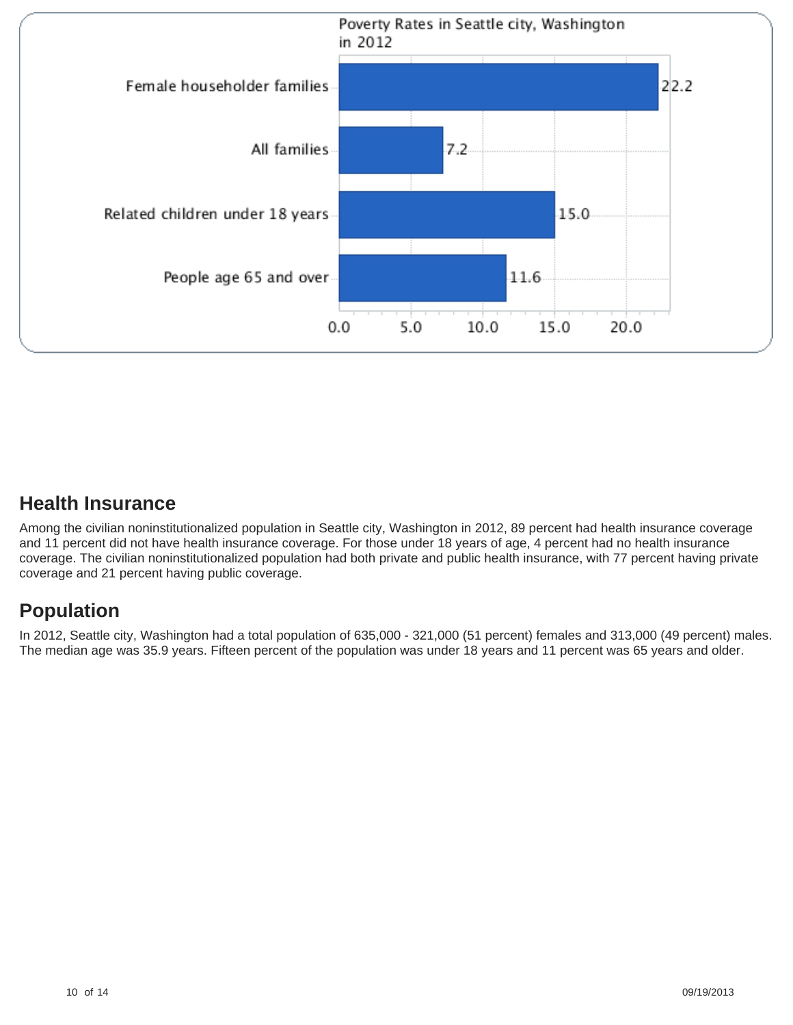

# **Health Insurance**

Among the civilian noninstitutionalized population in Seattle city, Washington in 2012, 89 percent had health insurance coverage and 11 percent did not have health insurance coverage. For those under 18 years of age, 4 percent had no health insurance coverage. The civilian noninstitutionalized population had both private and public health insurance, with 77 percent having private coverage and 21 percent having public coverage.

# **Population**

In 2012, Seattle city, Washington had a total population of 635,000 - 321,000 (51 percent) females and 313,000 (49 percent) males. The median age was 35.9 years. Fifteen percent of the population was under 18 years and 11 percent was 65 years and older.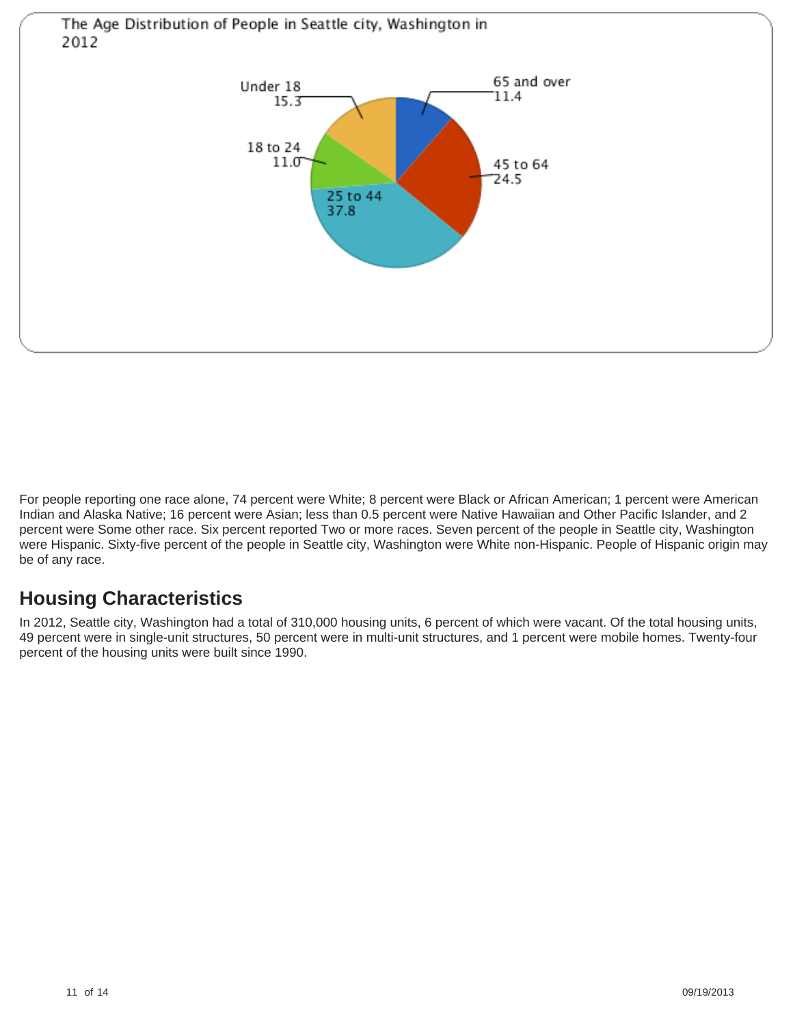

For people reporting one race alone, 74 percent were White; 8 percent were Black or African American; 1 percent were American Indian and Alaska Native; 16 percent were Asian; less than 0.5 percent were Native Hawaiian and Other Pacific Islander, and 2 percent were Some other race. Six percent reported Two or more races. Seven percent of the people in Seattle city, Washington were Hispanic. Sixty-five percent of the people in Seattle city, Washington were White non-Hispanic. People of Hispanic origin may be of any race.

# **Housing Characteristics**

In 2012, Seattle city, Washington had a total of 310,000 housing units, 6 percent of which were vacant. Of the total housing units, 49 percent were in single-unit structures, 50 percent were in multi-unit structures, and 1 percent were mobile homes. Twenty-four percent of the housing units were built since 1990.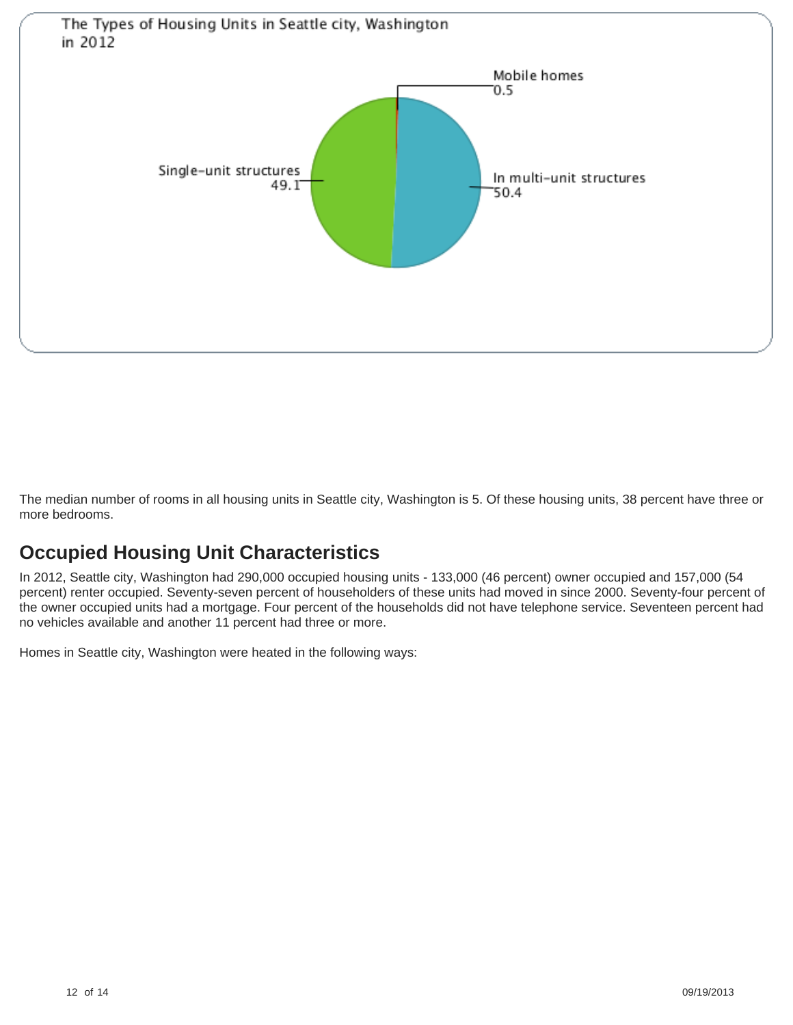

The median number of rooms in all housing units in Seattle city, Washington is 5. Of these housing units, 38 percent have three or more bedrooms.

# **Occupied Housing Unit Characteristics**

In 2012, Seattle city, Washington had 290,000 occupied housing units - 133,000 (46 percent) owner occupied and 157,000 (54 percent) renter occupied. Seventy-seven percent of householders of these units had moved in since 2000. Seventy-four percent of the owner occupied units had a mortgage. Four percent of the households did not have telephone service. Seventeen percent had no vehicles available and another 11 percent had three or more.

Homes in Seattle city, Washington were heated in the following ways: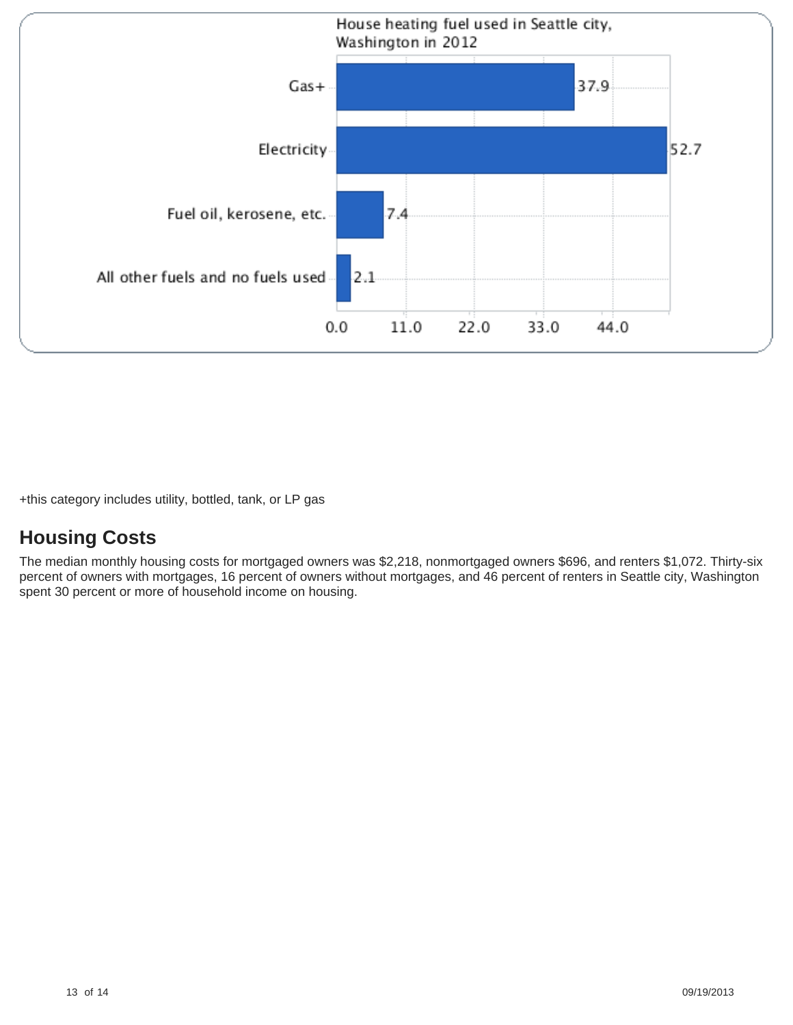

+this category includes utility, bottled, tank, or LP gas

# **Housing Costs**

The median monthly housing costs for mortgaged owners was \$2,218, nonmortgaged owners \$696, and renters \$1,072. Thirty-six percent of owners with mortgages, 16 percent of owners without mortgages, and 46 percent of renters in Seattle city, Washington spent 30 percent or more of household income on housing.